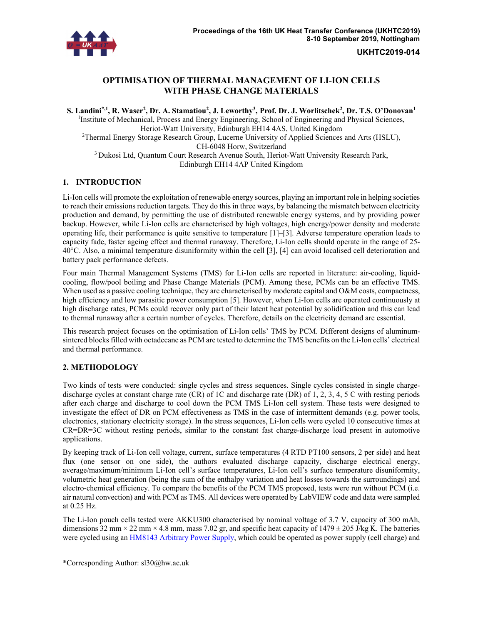

**UKHTC2019-014** 

# **OPTIMISATION OF THERMAL MANAGEMENT OF LI-ION CELLS WITH PHASE CHANGE MATERIALS**

 $\bf S.$  Landini ${}^{*,1},$  **R.** Waser<sup>2</sup>, Dr. A. Stamatiou<sup>2</sup>, J. Leworthy<sup>3</sup>, Prof. Dr. J. Worlitschek<sup>2</sup>, Dr. T.S. O'Donovan<sup>1</sup> <sup>1</sup>Institute of Mechanical, Process and Energy Engineering, School of Engineering and Physical Sciences, Heriot-Watt University, Edinburgh EH14 4AS, United Kingdom <sup>2</sup>Thermal Energy Storage Research Group, Lucerne University of Applied Sciences and Arts (HSLU), CH-6048 Horw, Switzerland <sup>3</sup> Dukosi Ltd, Quantum Court Research Avenue South, Heriot-Watt University Research Park, Edinburgh EH14 4AP United Kingdom

## **1. INTRODUCTION**

Li-Ion cells will promote the exploitation of renewable energy sources, playing an important role in helping societies to reach their emissions reduction targets. They do this in three ways, by balancing the mismatch between electricity production and demand, by permitting the use of distributed renewable energy systems, and by providing power backup. However, while Li-Ion cells are characterised by high voltages, high energy/power density and moderate operating life, their performance is quite sensitive to temperature [1]–[3]. Adverse temperature operation leads to capacity fade, faster ageing effect and thermal runaway. Therefore, Li-Ion cells should operate in the range of 25- 40°C. Also, a minimal temperature disuniformity within the cell [3], [4] can avoid localised cell deterioration and battery pack performance defects.

Four main Thermal Management Systems (TMS) for Li-Ion cells are reported in literature: air-cooling, liquidcooling, flow/pool boiling and Phase Change Materials (PCM). Among these, PCMs can be an effective TMS. When used as a passive cooling technique, they are characterised by moderate capital and O&M costs, compactness, high efficiency and low parasitic power consumption [5]. However, when Li-Ion cells are operated continuously at high discharge rates, PCMs could recover only part of their latent heat potential by solidification and this can lead to thermal runaway after a certain number of cycles. Therefore, details on the electricity demand are essential.

This research project focuses on the optimisation of Li-Ion cells' TMS by PCM. Different designs of aluminumsintered blocks filled with octadecane as PCM are tested to determine the TMS benefits on the Li-Ion cells' electrical and thermal performance.

## **2. METHODOLOGY**

Two kinds of tests were conducted: single cycles and stress sequences. Single cycles consisted in single chargedischarge cycles at constant charge rate (CR) of 1C and discharge rate (DR) of 1, 2, 3, 4, 5 C with resting periods after each charge and discharge to cool down the PCM TMS Li-Ion cell system. These tests were designed to investigate the effect of DR on PCM effectiveness as TMS in the case of intermittent demands (e.g. power tools, electronics, stationary electricity storage). In the stress sequences, Li-Ion cells were cycled 10 consecutive times at CR=DR=3C without resting periods, similar to the constant fast charge-discharge load present in automotive applications.

By keeping track of Li-Ion cell voltage, current, surface temperatures (4 RTD PT100 sensors, 2 per side) and heat flux (one sensor on one side), the authors evaluated discharge capacity, discharge electrical energy, average/maximum/minimum Li-Ion cell's surface temperatures, Li-Ion cell's surface temperature disuniformity, volumetric heat generation (being the sum of the enthalpy variation and heat losses towards the surroundings) and electro-chemical efficiency. To compare the benefits of the PCM TMS proposed, tests were run without PCM (i.e. air natural convection) and with PCM as TMS. All devices were operated by LabVIEW code and data were sampled at 0.25 Hz.

The Li-Ion pouch cells tested were AKKU300 characterised by nominal voltage of 3.7 V, capacity of 300 mAh, dimensions 32 mm  $\times$  22 mm  $\times$  4.8 mm, mass 7.02 gr, and specific heat capacity of 1479  $\pm$  205 J/kg K. The batteries were cycled using an HM8143 Arbitrary Power Supply, which could be operated as power supply (cell charge) and

\*Corresponding Author: sl30@hw.ac.uk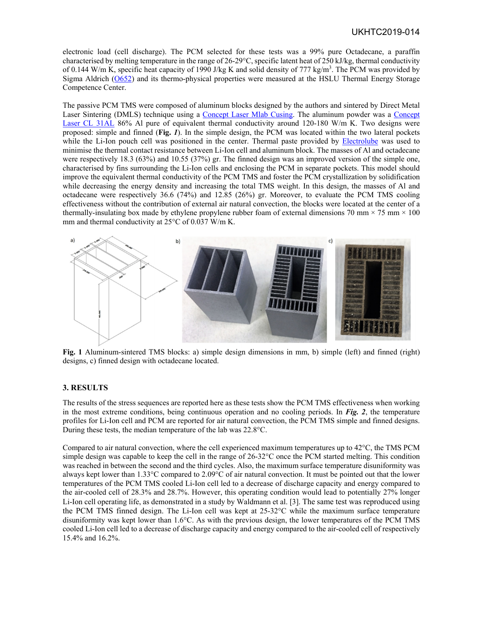electronic load (cell discharge). The PCM selected for these tests was a 99% pure Octadecane, a paraffin characterised by melting temperature in the range of 26-29°C, specific latent heat of 250 kJ/kg, thermal conductivity of 0.144 W/m K, specific heat capacity of 1990 J/kg K and solid density of 777 kg/m<sup>3</sup>. The PCM was provided by Sigma Aldrich (O652) and its thermo-physical properties were measured at the HSLU Thermal Energy Storage Competence Center.

The passive PCM TMS were composed of aluminum blocks designed by the authors and sintered by Direct Metal Laser Sintering (DMLS) technique using a Concept Laser Mlab Cusing. The aluminum powder was a Concept Laser CL 31AL 86% Al pure of equivalent thermal conductivity around 120-180 W/m K. Two designs were proposed: simple and finned (**Fig.** *1*). In the simple design, the PCM was located within the two lateral pockets while the Li-Ion pouch cell was positioned in the center. Thermal paste provided by Electrolube was used to minimise the thermal contact resistance between Li-Ion cell and aluminum block. The masses of Al and octadecane were respectively 18.3 (63%) and 10.55 (37%) gr. The finned design was an improved version of the simple one, characterised by fins surrounding the Li-Ion cells and enclosing the PCM in separate pockets. This model should improve the equivalent thermal conductivity of the PCM TMS and foster the PCM crystallization by solidification while decreasing the energy density and increasing the total TMS weight. In this design, the masses of Al and octadecane were respectively 36.6 (74%) and 12.85 (26%) gr. Moreover, to evaluate the PCM TMS cooling effectiveness without the contribution of external air natural convection, the blocks were located at the center of a thermally-insulating box made by ethylene propylene rubber foam of external dimensions 70 mm  $\times$  75 mm  $\times$  100 mm and thermal conductivity at 25°C of 0.037 W/m K.



**Fig. 1** Aluminum-sintered TMS blocks: a) simple design dimensions in mm, b) simple (left) and finned (right) designs, c) finned design with octadecane located.

### **3. RESULTS**

The results of the stress sequences are reported here as these tests show the PCM TMS effectiveness when working in the most extreme conditions, being continuous operation and no cooling periods. In *Fig. 2*, the temperature profiles for Li-Ion cell and PCM are reported for air natural convection, the PCM TMS simple and finned designs. During these tests, the median temperature of the lab was 22.8°C.

Compared to air natural convection, where the cell experienced maximum temperatures up to 42°C, the TMS PCM simple design was capable to keep the cell in the range of 26-32°C once the PCM started melting. This condition was reached in between the second and the third cycles. Also, the maximum surface temperature disuniformity was always kept lower than 1.33°C compared to 2.09°C of air natural convection. It must be pointed out that the lower temperatures of the PCM TMS cooled Li-Ion cell led to a decrease of discharge capacity and energy compared to the air-cooled cell of 28.3% and 28.7%. However, this operating condition would lead to potentially 27% longer Li-Ion cell operating life, as demonstrated in a study by Waldmann et al. [3]. The same test was reproduced using the PCM TMS finned design. The Li-Ion cell was kept at 25-32°C while the maximum surface temperature disuniformity was kept lower than 1.6°C. As with the previous design, the lower temperatures of the PCM TMS cooled Li-Ion cell led to a decrease of discharge capacity and energy compared to the air-cooled cell of respectively 15.4% and 16.2%.